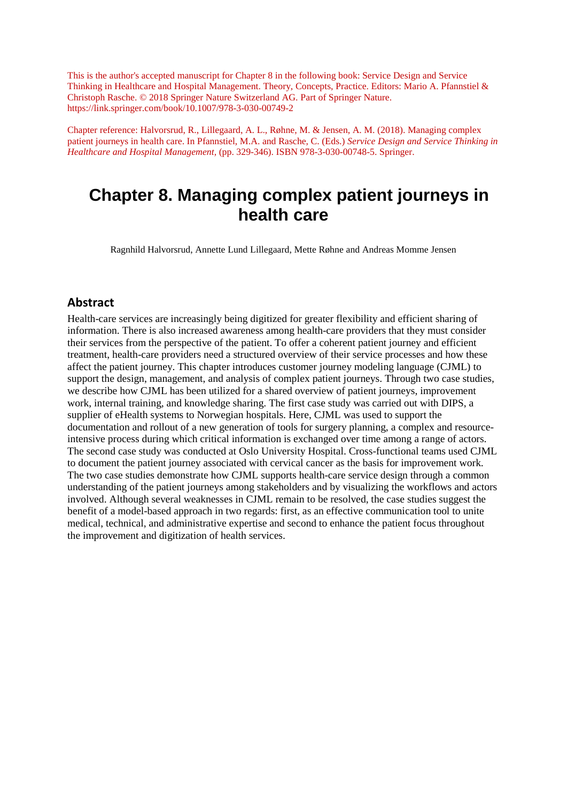This is the author's accepted manuscript for Chapter 8 in the following book: Service Design and Service Thinking in Healthcare and Hospital Management. Theory, Concepts, Practice. Editors: Mario A. Pfannstiel & Christoph Rasche. © 2018 Springer Nature Switzerland AG. Part of Springer Nature. https://link.springer.com/book/10.1007/978-3-030-00749-2

Chapter reference: Halvorsrud, R., Lillegaard, A. L., Røhne, M. & Jensen, A. M. (2018). Managing complex patient journeys in health care. In Pfannstiel, M.A. and Rasche, C. (Eds.) *Service Design and Service Thinking in Healthcare and Hospital Management,* (pp. 329-346). ISBN 978-3-030-00748-5. Springer.

# **Chapter 8. Managing complex patient journeys in health care**

Ragnhild Halvorsrud, Annette Lund Lillegaard, Mette Røhne and Andreas Momme Jensen

# **Abstract**

Health-care services are increasingly being digitized for greater flexibility and efficient sharing of information. There is also increased awareness among health-care providers that they must consider their services from the perspective of the patient. To offer a coherent patient journey and efficient treatment, health-care providers need a structured overview of their service processes and how these affect the patient journey. This chapter introduces customer journey modeling language (CJML) to support the design, management, and analysis of complex patient journeys. Through two case studies, we describe how CJML has been utilized for a shared overview of patient journeys, improvement work, internal training, and knowledge sharing. The first case study was carried out with DIPS, a supplier of eHealth systems to Norwegian hospitals. Here, CJML was used to support the documentation and rollout of a new generation of tools for surgery planning, a complex and resourceintensive process during which critical information is exchanged over time among a range of actors. The second case study was conducted at Oslo University Hospital. Cross-functional teams used CJML to document the patient journey associated with cervical cancer as the basis for improvement work. The two case studies demonstrate how CJML supports health-care service design through a common understanding of the patient journeys among stakeholders and by visualizing the workflows and actors involved. Although several weaknesses in CJML remain to be resolved, the case studies suggest the benefit of a model-based approach in two regards: first, as an effective communication tool to unite medical, technical, and administrative expertise and second to enhance the patient focus throughout the improvement and digitization of health services.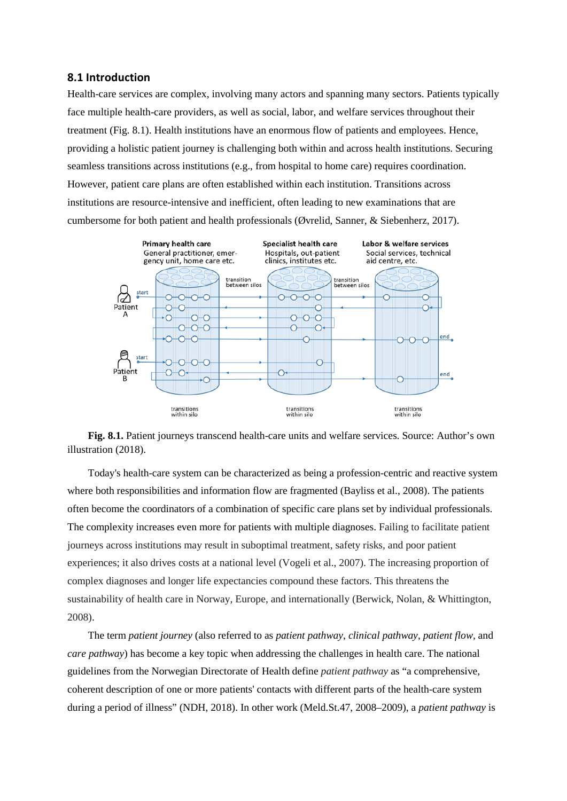## **8.1 Introduction**

Health-care services are complex, involving many actors and spanning many sectors. Patients typically face multiple health-care providers, as well as social, labor, and welfare services throughout their treatment [\(Fig. 8.1\)](#page-1-0). Health institutions have an enormous flow of patients and employees. Hence, providing a holistic patient journey is challenging both within and across health institutions. Securing seamless transitions across institutions (e.g., from hospital to home care) requires coordination. However, patient care plans are often established within each institution. Transitions across institutions are resource-intensive and inefficient, often leading to new examinations that are cumbersome for both patient and health professionals (Øvrelid, Sanner, & Siebenherz, 2017).



<span id="page-1-0"></span>**Fig. 8.1.** Patient journeys transcend health-care units and welfare services. Source: Author's own illustration (2018).

Today's health-care system can be characterized as being a profession-centric and reactive system where both responsibilities and information flow are fragmented (Bayliss et al., 2008). The patients often become the coordinators of a combination of specific care plans set by individual professionals. The complexity increases even more for patients with multiple diagnoses. Failing to facilitate patient journeys across institutions may result in suboptimal treatment, safety risks, and poor patient experiences; it also drives costs at a national level (Vogeli et al., 2007). The increasing proportion of complex diagnoses and longer life expectancies compound these factors. This threatens the sustainability of health care in Norway, Europe, and internationally (Berwick, Nolan, & Whittington, 2008).

The term *patient journey* (also referred to as *patient pathway*, *clinical pathway*, *patient flow*, and *care pathway*) has become a key topic when addressing the challenges in health care. The national guidelines from the Norwegian Directorate of Health define *patient pathway* as "a comprehensive, coherent description of one or more patients' contacts with different parts of the health-care system during a period of illness" (NDH, 2018). In other work (Meld.St.47, 2008–2009), a *patient pathway* is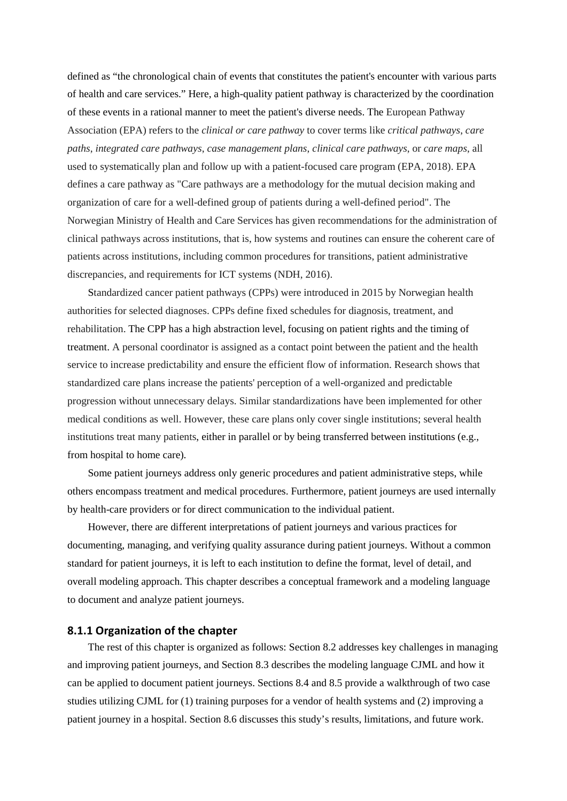defined as "the chronological chain of events that constitutes the patient's encounter with various parts of health and care services." Here, a high-quality patient pathway is characterized by the coordination of these events in a rational manner to meet the patient's diverse needs. The European Pathway Association (EPA) refers to the *clinical or care pathway* to cover terms like *critical pathways*, *care paths*, *integrated care pathways*, *case management plans*, *clinical care pathways*, or *care maps*, all used to systematically plan and follow up with a patient-focused care program (EPA, 2018). EPA defines a care pathway as "Care pathways are a methodology for the mutual decision making and organization of care for a well-defined group of patients during a well-defined period". The Norwegian Ministry of Health and Care Services has given recommendations for the administration of clinical pathways across institutions, that is, how systems and routines can ensure the coherent care of patients across institutions, including common procedures for transitions, patient administrative discrepancies, and requirements for ICT systems (NDH, 2016).

Standardized cancer patient pathways (CPPs) were introduced in 2015 by Norwegian health authorities for selected diagnoses. CPPs define fixed schedules for diagnosis, treatment, and rehabilitation. The CPP has a high abstraction level, focusing on patient rights and the timing of treatment. A personal coordinator is assigned as a contact point between the patient and the health service to increase predictability and ensure the efficient flow of information. Research shows that standardized care plans increase the patients' perception of a well-organized and predictable progression without unnecessary delays. Similar standardizations have been implemented for other medical conditions as well. However, these care plans only cover single institutions; several health institutions treat many patients, either in parallel or by being transferred between institutions (e.g., from hospital to home care).

Some patient journeys address only generic procedures and patient administrative steps, while others encompass treatment and medical procedures. Furthermore, patient journeys are used internally by health-care providers or for direct communication to the individual patient.

However, there are different interpretations of patient journeys and various practices for documenting, managing, and verifying quality assurance during patient journeys. Without a common standard for patient journeys, it is left to each institution to define the format, level of detail, and overall modeling approach. This chapter describes a conceptual framework and a modeling language to document and analyze patient journeys.

## **8.1.1 Organization of the chapter**

The rest of this chapter is organized as follows: Section 8.2 addresses key challenges in managing and improving patient journeys, and Section 8.3 describes the modeling language CJML and how it can be applied to document patient journeys. Sections 8.4 and 8.5 provide a walkthrough of two case studies utilizing CJML for (1) training purposes for a vendor of health systems and (2) improving a patient journey in a hospital. Section 8.6 discusses this study's results, limitations, and future work.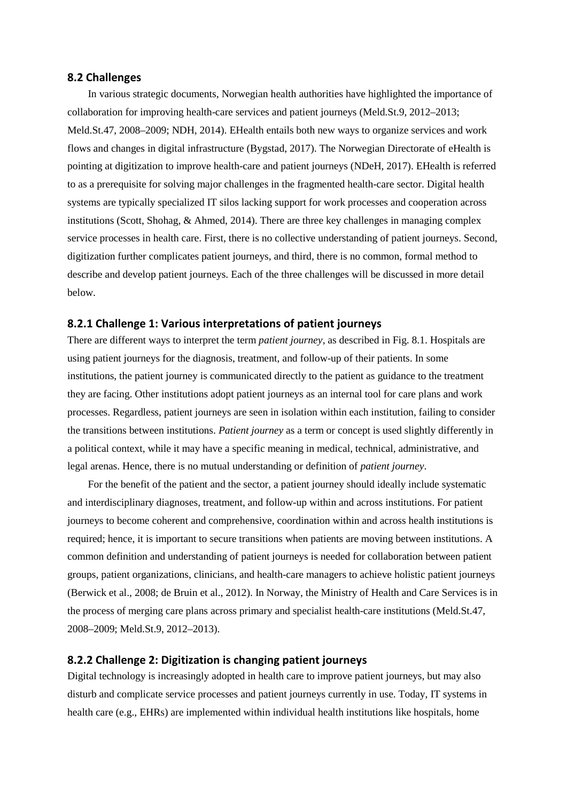## **8.2 Challenges**

In various strategic documents, Norwegian health authorities have highlighted the importance of collaboration for improving health-care services and patient journeys (Meld.St.9, 2012–2013; Meld.St.47, 2008–2009; NDH, 2014). EHealth entails both new ways to organize services and work flows and changes in digital infrastructure (Bygstad, 2017). The Norwegian Directorate of eHealth is pointing at digitization to improve health-care and patient journeys (NDeH, 2017). EHealth is referred to as a prerequisite for solving major challenges in the fragmented health-care sector. Digital health systems are typically specialized IT silos lacking support for work processes and cooperation across institutions (Scott, Shohag, & Ahmed, 2014). There are three key challenges in managing complex service processes in health care. First, there is no collective understanding of patient journeys. Second, digitization further complicates patient journeys, and third, there is no common, formal method to describe and develop patient journeys. Each of the three challenges will be discussed in more detail below.

## **8.2.1 Challenge 1: Various interpretations of patient journeys**

There are different ways to interpret the term *patient journey*, as described in Fig. 8.1. Hospitals are using patient journeys for the diagnosis, treatment, and follow-up of their patients. In some institutions, the patient journey is communicated directly to the patient as guidance to the treatment they are facing. Other institutions adopt patient journeys as an internal tool for care plans and work processes. Regardless, patient journeys are seen in isolation within each institution, failing to consider the transitions between institutions. *Patient journey* as a term or concept is used slightly differently in a political context, while it may have a specific meaning in medical, technical, administrative, and legal arenas. Hence, there is no mutual understanding or definition of *patient journey*.

For the benefit of the patient and the sector, a patient journey should ideally include systematic and interdisciplinary diagnoses, treatment, and follow-up within and across institutions. For patient journeys to become coherent and comprehensive, coordination within and across health institutions is required; hence, it is important to secure transitions when patients are moving between institutions. A common definition and understanding of patient journeys is needed for collaboration between patient groups, patient organizations, clinicians, and health-care managers to achieve holistic patient journeys (Berwick et al., 2008; de Bruin et al., 2012). In Norway, the Ministry of Health and Care Services is in the process of merging care plans across primary and specialist health-care institutions (Meld.St.47, 2008–2009; Meld.St.9, 2012–2013).

## **8.2.2 Challenge 2: Digitization is changing patient journeys**

Digital technology is increasingly adopted in health care to improve patient journeys, but may also disturb and complicate service processes and patient journeys currently in use. Today, IT systems in health care (e.g., EHRs) are implemented within individual health institutions like hospitals, home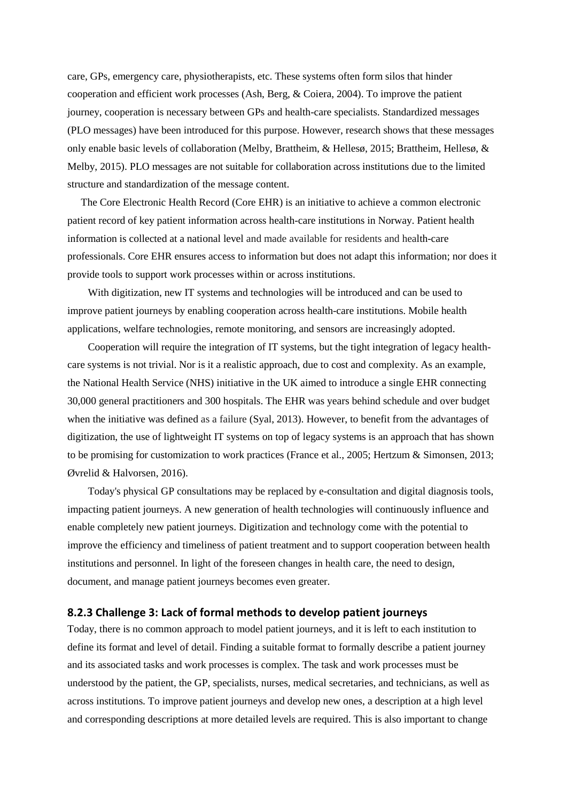care, GPs, emergency care, physiotherapists, etc. These systems often form silos that hinder cooperation and efficient work processes (Ash, Berg, & Coiera, 2004). To improve the patient journey, cooperation is necessary between GPs and health-care specialists. Standardized messages (PLO messages) have been introduced for this purpose. However, research shows that these messages only enable basic levels of collaboration (Melby, Brattheim, & Hellesø, 2015; Brattheim, Hellesø, & Melby, 2015). PLO messages are not suitable for collaboration across institutions due to the limited structure and standardization of the message content.

The Core Electronic Health Record (Core EHR) is an initiative to achieve a common electronic patient record of key patient information across health-care institutions in Norway. Patient health information is collected at a national level and made available for residents and health-care professionals. Core EHR ensures access to information but does not adapt this information; nor does it provide tools to support work processes within or across institutions.

With digitization, new IT systems and technologies will be introduced and can be used to improve patient journeys by enabling cooperation across health-care institutions. Mobile health applications, welfare technologies, remote monitoring, and sensors are increasingly adopted.

Cooperation will require the integration of IT systems, but the tight integration of legacy healthcare systems is not trivial. Nor is it a realistic approach, due to cost and complexity. As an example, the [National Health Service](https://en.wikipedia.org/wiki/National_Health_Service_(England)) (NHS) initiative in the UK aimed to introduce a single EHR connecting 30,000 [general practitioners](https://en.wikipedia.org/wiki/General_practitioner) and 300 hospitals. The EHR was years behind schedule and over budget when the initiative was defined as a failure (Syal, 2013). However, to benefit from the advantages of digitization, the use of lightweight IT systems on top of legacy systems is an approach that has shown to be promising for customization to work practices (France et al., 2005; Hertzum & Simonsen, 2013; Øvrelid & Halvorsen, 2016).

Today's physical GP consultations may be replaced by e-consultation and digital diagnosis tools, impacting patient journeys. A new generation of health technologies will continuously influence and enable completely new patient journeys. Digitization and technology come with the potential to improve the efficiency and timeliness of patient treatment and to support cooperation between health institutions and personnel. In light of the foreseen changes in health care, the need to design, document, and manage patient journeys becomes even greater.

## **8.2.3 Challenge 3: Lack of formal methods to develop patient journeys**

Today, there is no common approach to model patient journeys, and it is left to each institution to define its format and level of detail. Finding a suitable format to formally describe a patient journey and its associated tasks and work processes is complex. The task and work processes must be understood by the patient, the GP, specialists, nurses, medical secretaries, and technicians, as well as across institutions. To improve patient journeys and develop new ones, a description at a high level and corresponding descriptions at more detailed levels are required. This is also important to change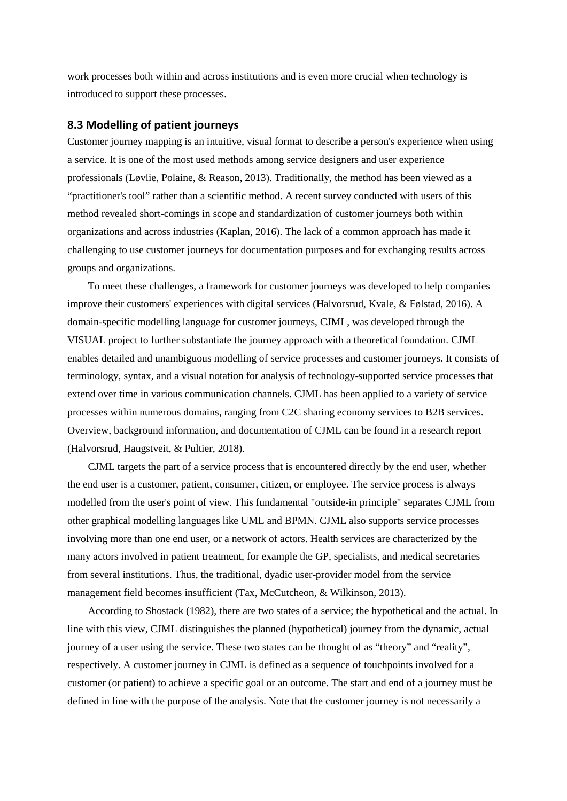work processes both within and across institutions and is even more crucial when technology is introduced to support these processes.

## **8.3 Modelling of patient journeys**

Customer journey mapping is an intuitive, visual format to describe a person's experience when using a service. It is one of the most used methods among service designers and user experience professionals (Løvlie, Polaine, & Reason, 2013). Traditionally, the method has been viewed as a "practitioner's tool" rather than a scientific method. A recent survey conducted with users of this method revealed short-comings in scope and standardization of customer journeys both within organizations and across industries (Kaplan, 2016). The lack of a common approach has made it challenging to use customer journeys for documentation purposes and for exchanging results across groups and organizations.

To meet these challenges, a framework for customer journeys was developed to help companies improve their customers' experiences with digital services (Halvorsrud, Kvale, & Følstad, 2016). A domain-specific modelling language for customer journeys, CJML, was developed through the VISUAL project to further substantiate the journey approach with a theoretical foundation. CJML enables detailed and unambiguous modelling of service processes and customer journeys. It consists of terminology, syntax, and a visual notation for analysis of technology-supported service processes that extend over time in various communication channels. CJML has been applied to a variety of service processes within numerous domains, ranging from C2C sharing economy services to B2B services. Overview, background information, and documentation of CJML can be found in a research report (Halvorsrud, Haugstveit, & Pultier, 2018).

CJML targets the part of a service process that is encountered directly by the end user, whether the end user is a customer, patient, consumer, citizen, or employee. The service process is always modelled from the user's point of view. This fundamental "outside-in principle" separates CJML from other graphical modelling languages like UML and BPMN. CJML also supports service processes involving more than one end user, or a network of actors. Health services are characterized by the many actors involved in patient treatment, for example the GP, specialists, and medical secretaries from several institutions. Thus, the traditional, dyadic user-provider model from the service management field becomes insufficient (Tax, McCutcheon, & Wilkinson, 2013).

According to Shostack (1982), there are two states of a service; the hypothetical and the actual. In line with this view, CJML distinguishes the planned (hypothetical) journey from the dynamic, actual journey of a user using the service. These two states can be thought of as "theory" and "reality", respectively. A customer journey in CJML is defined as a sequence of touchpoints involved for a customer (or patient) to achieve a specific goal or an outcome. The start and end of a journey must be defined in line with the purpose of the analysis. Note that the customer journey is not necessarily a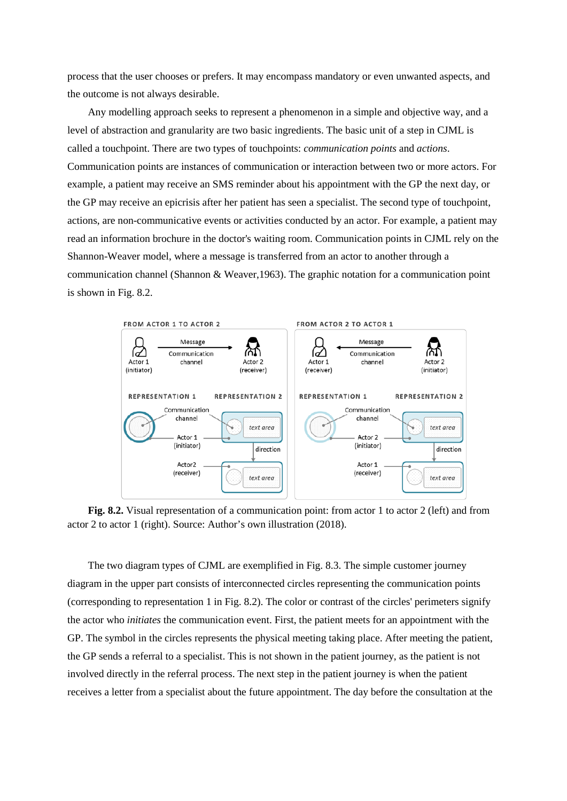process that the user chooses or prefers. It may encompass mandatory or even unwanted aspects, and the outcome is not always desirable.

Any modelling approach seeks to represent a phenomenon in a simple and objective way, and a level of abstraction and granularity are two basic ingredients. The basic unit of a step in CJML is called a touchpoint. There are two types of touchpoints: *communication points* and *actions*. Communication points are instances of communication or interaction between two or more actors. For example, a patient may receive an SMS reminder about his appointment with the GP the next day, or the GP may receive an epicrisis after her patient has seen a specialist. The second type of touchpoint, actions, are non-communicative events or activities conducted by an actor. For example, a patient may read an information brochure in the doctor's waiting room. Communication points in CJML rely on the Shannon-Weaver model, where a message is transferred from an actor to another through a communication channel (Shannon & Weaver,1963). The graphic notation for a communication point is shown i[n Fig. 8.2.](#page-6-0)



<span id="page-6-0"></span>**Fig. 8.2.** Visual representation of a communication point: from actor 1 to actor 2 (left) and from actor 2 to actor 1 (right). Source: Author's own illustration (2018).

The two diagram types of CJML are exemplified in Fig. 8.3. The simple customer journey diagram in the upper part consists of interconnected circles representing the communication points (corresponding to representation 1 in [Fig. 8.2\)](#page-6-0). The color or contrast of the circles' perimeters signify the actor who *initiates* the communication event. First, the patient meets for an appointment with the GP. The symbol in the circles represents the physical meeting taking place. After meeting the patient, the GP sends a referral to a specialist. This is not shown in the patient journey, as the patient is not involved directly in the referral process. The next step in the patient journey is when the patient receives a letter from a specialist about the future appointment. The day before the consultation at the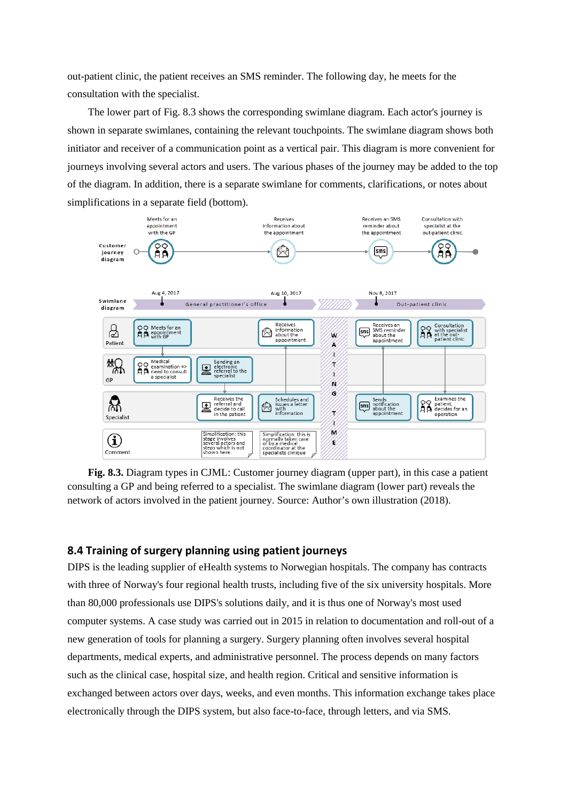out-patient clinic, the patient receives an SMS reminder. The following day, he meets for the consultation with the specialist.

The lower part of [Fig. 8.3](#page-7-0) shows the corresponding swimlane diagram. Each actor's journey is shown in separate swimlanes, containing the relevant touchpoints. The swimlane diagram shows both initiator and receiver of a communication point as a vertical pair. This diagram is more convenient for journeys involving several actors and users. The various phases of the journey may be added to the top of the diagram. In addition, there is a separate swimlane for comments, clarifications, or notes about simplifications in a separate field (bottom).



<span id="page-7-0"></span>**Fig. 8.3.** Diagram types in CJML: Customer journey diagram (upper part), in this case a patient consulting a GP and being referred to a specialist. The swimlane diagram (lower part) reveals the network of actors involved in the patient journey. Source: Author's own illustration (2018).

# **8.4 Training of surgery planning using patient journeys**

DIPS is the leading supplier of eHealth systems to Norwegian hospitals. The company has contracts with three of Norway's four regional health trusts, including five of the six university hospitals. More than 80,000 professionals use DIPS's solutions daily, and it is thus one of Norway's most used computer systems. A case study was carried out in 2015 in relation to documentation and roll-out of a new generation of tools for planning a surgery. Surgery planning often involves several hospital departments, medical experts, and administrative personnel. The process depends on many factors such as the clinical case, hospital size, and health region. Critical and sensitive information is exchanged between actors over days, weeks, and even months. This information exchange takes place electronically through the DIPS system, but also face-to-face, through letters, and via SMS.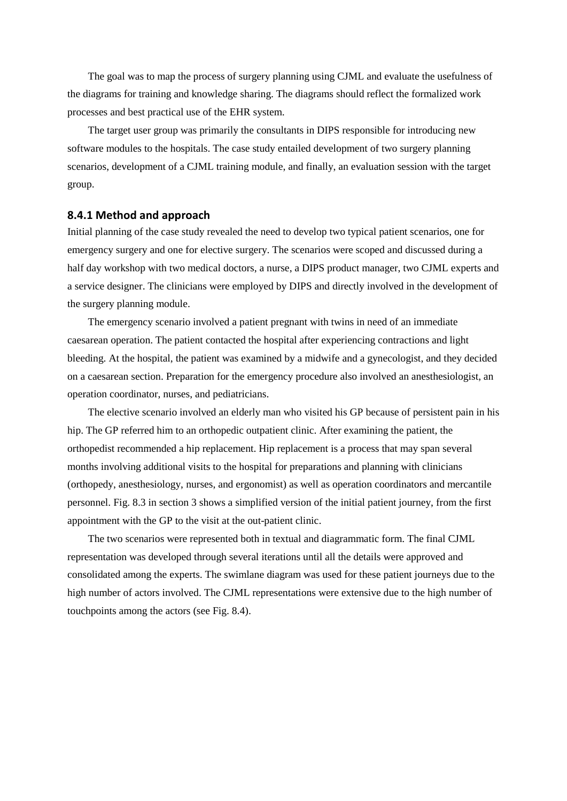The goal was to map the process of surgery planning using CJML and evaluate the usefulness of the diagrams for training and knowledge sharing. The diagrams should reflect the formalized work processes and best practical use of the EHR system.

The target user group was primarily the consultants in DIPS responsible for introducing new software modules to the hospitals. The case study entailed development of two surgery planning scenarios, development of a CJML training module, and finally, an evaluation session with the target group.

## **8.4.1 Method and approach**

Initial planning of the case study revealed the need to develop two typical patient scenarios, one for emergency surgery and one for elective surgery. The scenarios were scoped and discussed during a half day workshop with two medical doctors, a nurse, a DIPS product manager, two CJML experts and a service designer. The clinicians were employed by DIPS and directly involved in the development of the surgery planning module.

The emergency scenario involved a patient pregnant with twins in need of an immediate caesarean operation. The patient contacted the hospital after experiencing contractions and light bleeding. At the hospital, the patient was examined by a midwife and a gynecologist, and they decided on a caesarean section. Preparation for the emergency procedure also involved an anesthesiologist, an operation coordinator, nurses, and pediatricians.

The elective scenario involved an elderly man who visited his GP because of persistent pain in his hip. The GP referred him to an orthopedic outpatient clinic. After examining the patient, the orthopedist recommended a hip replacement. Hip replacement is a process that may span several months involving additional visits to the hospital for preparations and planning with clinicians (orthopedy, anesthesiology, nurses, and ergonomist) as well as operation coordinators and mercantile personnel. Fig. 8.3 in section 3 shows a simplified version of the initial patient journey, from the first appointment with the GP to the visit at the out-patient clinic.

The two scenarios were represented both in textual and diagrammatic form. The final CJML representation was developed through several iterations until all the details were approved and consolidated among the experts. The swimlane diagram was used for these patient journeys due to the high number of actors involved. The CJML representations were extensive due to the high number of touchpoints among the actors (see [Fig. 8.4\)](#page-9-0).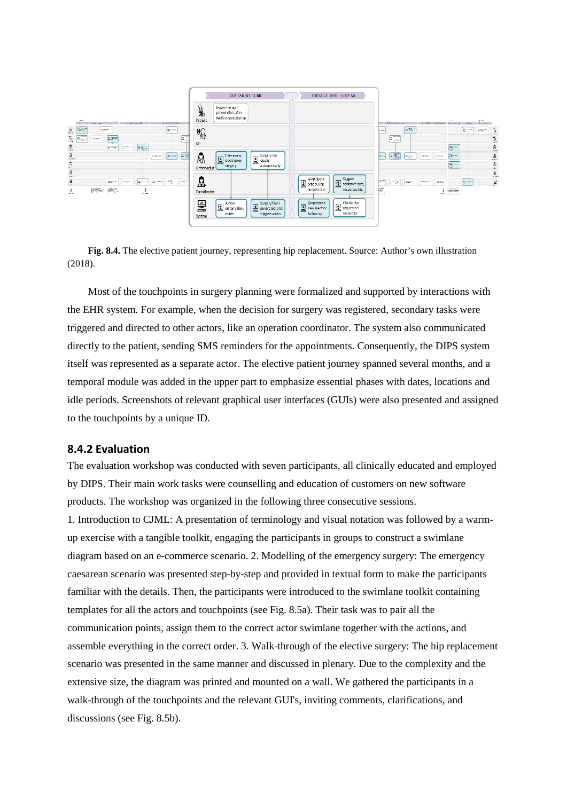

<span id="page-9-0"></span>

Most of the touchpoints in surgery planning were formalized and supported by interactions with the EHR system. For example, when the decision for surgery was registered, secondary tasks were triggered and directed to other actors, like an operation coordinator. The system also communicated directly to the patient, sending SMS reminders for the appointments. Consequently, the DIPS system itself was represented as a separate actor. The elective patient journey spanned several months, and a temporal module was added in the upper part to emphasize essential phases with dates, locations and idle periods. Screenshots of relevant graphical user interfaces (GUIs) were also presented and assigned to the touchpoints by a unique ID.

#### **8.4.2 Evaluation**

The evaluation workshop was conducted with seven participants, all clinically educated and employed by DIPS. Their main work tasks were counselling and education of customers on new software products. The workshop was organized in the following three consecutive sessions. 1. Introduction to CJML: A presentation of terminology and visual notation was followed by a warmup exercise with a tangible toolkit, engaging the participants in groups to construct a swimlane diagram based on an e-commerce scenario. 2. Modelling of the emergency surgery: The emergency caesarean scenario was presented step-by-step and provided in textual form to make the participants familiar with the details. Then, the participants were introduced to the swimlane toolkit containing templates for all the actors and touchpoints (see [Fig. 8.5a](#page-10-0)). Their task was to pair all the communication points, assign them to the correct actor swimlane together with the actions, and assemble everything in the correct order. 3. Walk-through of the elective surgery: The hip replacement scenario was presented in the same manner and discussed in plenary. Due to the complexity and the extensive size, the diagram was printed and mounted on a wall. We gathered the participants in a walk-through of the touchpoints and the relevant GUI's, inviting comments, clarifications, and discussions (see [Fig. 8.5b](#page-10-0)).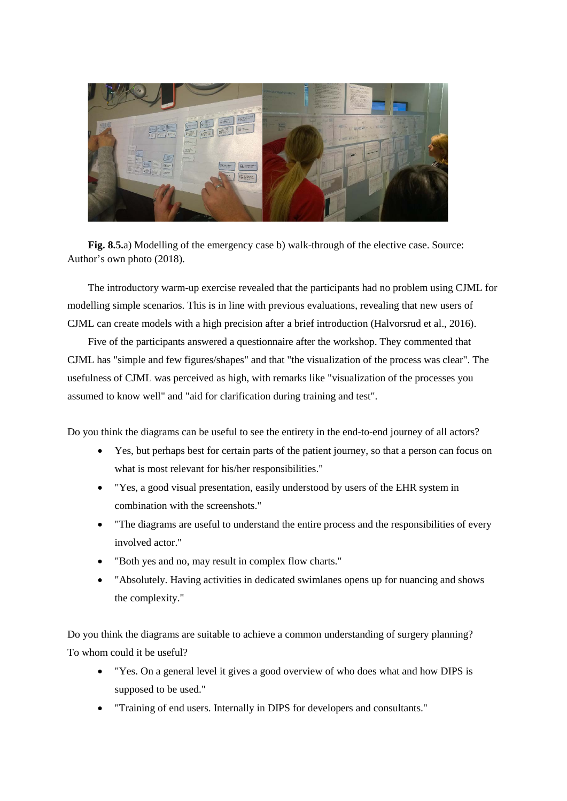

<span id="page-10-0"></span>Fig. 8.5.a) Modelling of the emergency case b) walk-through of the elective case. Source: Author's own photo (2018).

The introductory warm-up exercise revealed that the participants had no problem using CJML for modelling simple scenarios. This is in line with previous evaluations, revealing that new users of CJML can create models with a high precision after a brief introduction (Halvorsrud et al., 2016).

Five of the participants answered a questionnaire after the workshop. They commented that CJML has "simple and few figures/shapes" and that "the visualization of the process was clear". The usefulness of CJML was perceived as high, with remarks like "visualization of the processes you assumed to know well" and "aid for clarification during training and test".

Do you think the diagrams can be useful to see the entirety in the end-to-end journey of all actors?

- Yes, but perhaps best for certain parts of the patient journey, so that a person can focus on what is most relevant for his/her responsibilities."
- "Yes, a good visual presentation, easily understood by users of the EHR system in combination with the screenshots."
- "The diagrams are useful to understand the entire process and the responsibilities of every involved actor."
- "Both yes and no, may result in complex flow charts."
- "Absolutely. Having activities in dedicated swimlanes opens up for nuancing and shows the complexity."

Do you think the diagrams are suitable to achieve a common understanding of surgery planning? To whom could it be useful?

- "Yes. On a general level it gives a good overview of who does what and how DIPS is supposed to be used."
- "Training of end users. Internally in DIPS for developers and consultants."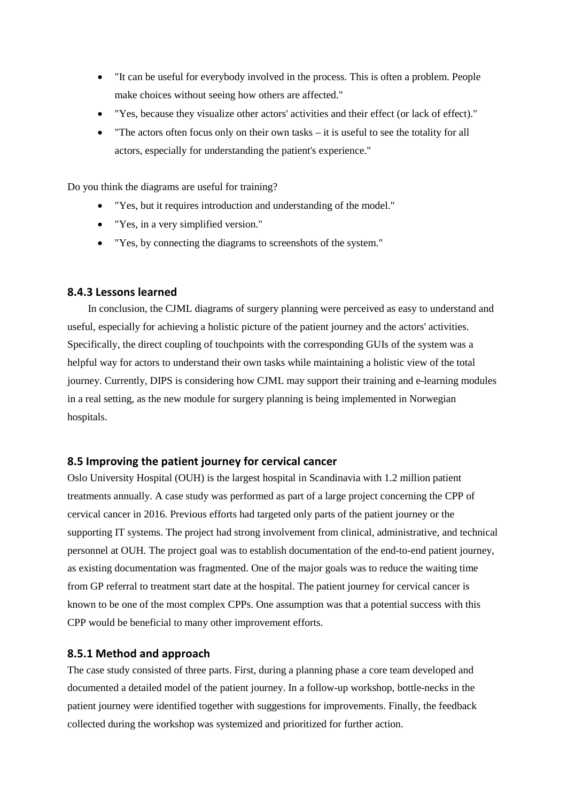- "It can be useful for everybody involved in the process. This is often a problem. People make choices without seeing how others are affected."
- "Yes, because they visualize other actors' activities and their effect (or lack of effect)."
- "The actors often focus only on their own tasks it is useful to see the totality for all actors, especially for understanding the patient's experience."

Do you think the diagrams are useful for training?

- "Yes, but it requires introduction and understanding of the model."
- "Yes, in a very simplified version."
- "Yes, by connecting the diagrams to screenshots of the system."

## **8.4.3 Lessons learned**

In conclusion, the CJML diagrams of surgery planning were perceived as easy to understand and useful, especially for achieving a holistic picture of the patient journey and the actors' activities. Specifically, the direct coupling of touchpoints with the corresponding GUIs of the system was a helpful way for actors to understand their own tasks while maintaining a holistic view of the total journey. Currently, DIPS is considering how CJML may support their training and e-learning modules in a real setting, as the new module for surgery planning is being implemented in Norwegian hospitals.

# **8.5 Improving the patient journey for cervical cancer**

Oslo University Hospital (OUH) is the largest hospital in Scandinavia with 1.2 million patient treatments annually. A case study was performed as part of a large project concerning the CPP of cervical cancer in 2016. Previous efforts had targeted only parts of the patient journey or the supporting IT systems. The project had strong involvement from clinical, administrative, and technical personnel at OUH. The project goal was to establish documentation of the end-to-end patient journey, as existing documentation was fragmented. One of the major goals was to reduce the waiting time from GP referral to treatment start date at the hospital. The patient journey for cervical cancer is known to be one of the most complex CPPs. One assumption was that a potential success with this CPP would be beneficial to many other improvement efforts.

## **8.5.1 Method and approach**

The case study consisted of three parts. First, during a planning phase a core team developed and documented a detailed model of the patient journey. In a follow-up workshop, bottle-necks in the patient journey were identified together with suggestions for improvements. Finally, the feedback collected during the workshop was systemized and prioritized for further action.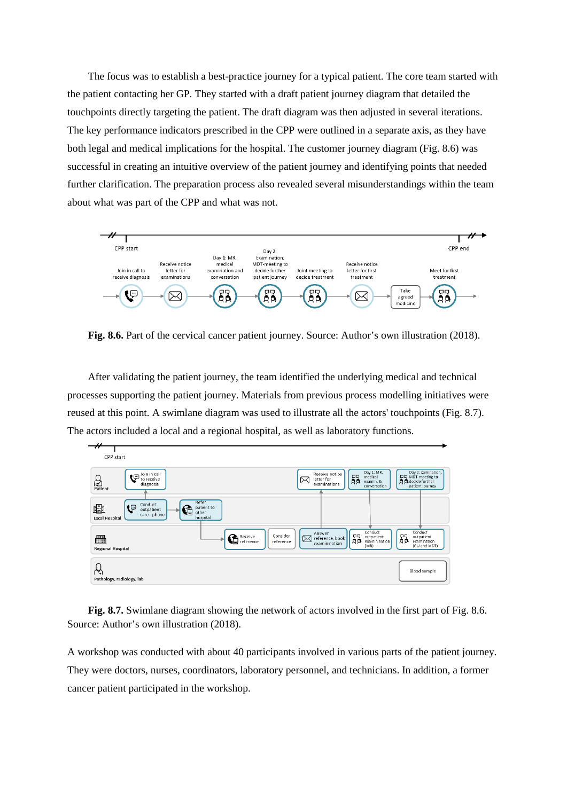The focus was to establish a best-practice journey for a typical patient. The core team started with the patient contacting her GP. They started with a draft patient journey diagram that detailed the touchpoints directly targeting the patient. The draft diagram was then adjusted in several iterations. The key performance indicators prescribed in the CPP were outlined in a separate axis, as they have both legal and medical implications for the hospital. The customer journey diagram [\(Fig. 8.6\)](#page-12-0) was successful in creating an intuitive overview of the patient journey and identifying points that needed further clarification. The preparation process also revealed several misunderstandings within the team about what was part of the CPP and what was not.



<span id="page-12-0"></span>Fig. 8.6. Part of the cervical cancer patient journey. Source: Author's own illustration (2018).

After validating the patient journey, the team identified the underlying medical and technical processes supporting the patient journey. Materials from previous process modelling initiatives were reused at this point. A swimlane diagram was used to illustrate all the actors' touchpoints [\(Fig. 8.7\)](#page-12-1). The actors included a local and a regional hospital, as well as laboratory functions.

| $^{\rm \#}$<br>CPP start                                                                                                   |                                                                                                                                                                                                        |  |
|----------------------------------------------------------------------------------------------------------------------------|--------------------------------------------------------------------------------------------------------------------------------------------------------------------------------------------------------|--|
| Join in call<br>ιØ<br>$\sum_{\text{Pattern}}$<br>to receive<br>diagnosis                                                   | Day 1: MR,<br>Day 2: xamination,<br>Receive notice<br>ЯÅ<br>ロロ MDT-meeting to<br>medical<br>letter for<br>⋉<br><b>Q</b> decide further<br>examin. &<br>examinations<br>patient journey<br>conversation |  |
| Refer<br>Conduct<br>侐<br>ιø<br>patient to<br>outpatient<br>۳<br>other<br>care - phone<br>hospital<br><b>Local Hospital</b> |                                                                                                                                                                                                        |  |
| Consider<br><b>合</b> Receive<br>鼺<br>reference<br><b>Regional Hospital</b>                                                 | Conduct<br>Conduct<br>Answer<br>គីធំ<br>ÅЙ<br>outpatient<br>outpatient<br>⋉<br>reference, book<br>examinination<br>examination<br>examinination<br>(GU and MDT)<br>(MR)                                |  |
| Ą<br>Pathology, radiology, lab                                                                                             | <b>Blood sample</b>                                                                                                                                                                                    |  |

<span id="page-12-1"></span>**Fig. 8.7.** Swimlane diagram showing the network of actors involved in the first part of Fig. 8.6. Source: Author's own illustration (2018).

A workshop was conducted with about 40 participants involved in various parts of the patient journey. They were doctors, nurses, coordinators, laboratory personnel, and technicians. In addition, a former cancer patient participated in the workshop.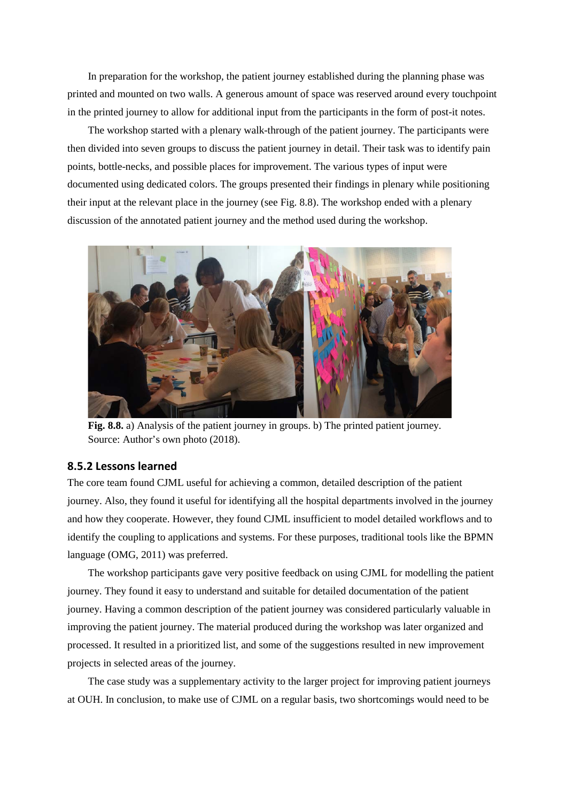In preparation for the workshop, the patient journey established during the planning phase was printed and mounted on two walls. A generous amount of space was reserved around every touchpoint in the printed journey to allow for additional input from the participants in the form of post-it notes.

The workshop started with a plenary walk-through of the patient journey. The participants were then divided into seven groups to discuss the patient journey in detail. Their task was to identify pain points, bottle-necks, and possible places for improvement. The various types of input were documented using dedicated colors. The groups presented their findings in plenary while positioning their input at the relevant place in the journey (see Fig. 8.8). The workshop ended with a plenary discussion of the annotated patient journey and the method used during the workshop.



**Fig. 8.8.** a) Analysis of the patient journey in groups. b) The printed patient journey. Source: Author's own photo (2018).

# **8.5.2 Lessons learned**

The core team found CJML useful for achieving a common, detailed description of the patient journey. Also, they found it useful for identifying all the hospital departments involved in the journey and how they cooperate. However, they found CJML insufficient to model detailed workflows and to identify the coupling to applications and systems. For these purposes, traditional tools like the BPMN language (OMG, 2011) was preferred.

The workshop participants gave very positive feedback on using CJML for modelling the patient journey. They found it easy to understand and suitable for detailed documentation of the patient journey. Having a common description of the patient journey was considered particularly valuable in improving the patient journey. The material produced during the workshop was later organized and processed. It resulted in a prioritized list, and some of the suggestions resulted in new improvement projects in selected areas of the journey.

The case study was a supplementary activity to the larger project for improving patient journeys at OUH. In conclusion, to make use of CJML on a regular basis, two shortcomings would need to be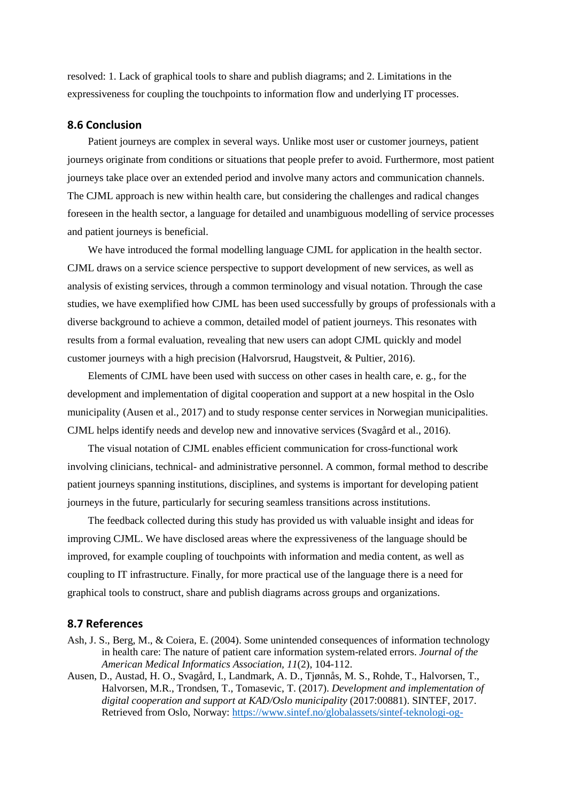resolved: 1. Lack of graphical tools to share and publish diagrams; and 2. Limitations in the expressiveness for coupling the touchpoints to information flow and underlying IT processes.

## **8.6 Conclusion**

Patient journeys are complex in several ways. Unlike most user or customer journeys, patient journeys originate from conditions or situations that people prefer to avoid. Furthermore, most patient journeys take place over an extended period and involve many actors and communication channels. The CJML approach is new within health care, but considering the challenges and radical changes foreseen in the health sector, a language for detailed and unambiguous modelling of service processes and patient journeys is beneficial.

We have introduced the formal modelling language CJML for application in the health sector. CJML draws on a service science perspective to support development of new services, as well as analysis of existing services, through a common terminology and visual notation. Through the case studies, we have exemplified how CJML has been used successfully by groups of professionals with a diverse background to achieve a common, detailed model of patient journeys. This resonates with results from a formal evaluation, revealing that new users can adopt CJML quickly and model customer journeys with a high precision (Halvorsrud, Haugstveit, & Pultier, 2016).

Elements of CJML have been used with success on other cases in health care, e. g., for the development and implementation of digital cooperation and support at a new hospital in the Oslo municipality (Ausen et al., 2017) and to study response center services in Norwegian municipalities. CJML helps identify needs and develop new and innovative services (Svagård et al., 2016).

The visual notation of CJML enables efficient communication for cross-functional work involving clinicians, technical- and administrative personnel. A common, formal method to describe patient journeys spanning institutions, disciplines, and systems is important for developing patient journeys in the future, particularly for securing seamless transitions across institutions.

The feedback collected during this study has provided us with valuable insight and ideas for improving CJML. We have disclosed areas where the expressiveness of the language should be improved, for example coupling of touchpoints with information and media content, as well as coupling to IT infrastructure. Finally, for more practical use of the language there is a need for graphical tools to construct, share and publish diagrams across groups and organizations.

## **8.7 References**

- Ash, J. S., Berg, M., & Coiera, E. (2004). Some unintended consequences of information technology in health care: The nature of patient care information system-related errors. *Journal of the American Medical Informatics Association, 11*(2), 104-112.
- Ausen, D., Austad, H. O., Svagård, I., Landmark, A. D., Tjønnås, M. S., Rohde, T., Halvorsen, T., Halvorsen, M.R., Trondsen, T., Tomasevic, T. (2017). *Development and implementation of digital cooperation and support at KAD/Oslo municipality* (2017:00881). SINTEF, 2017. Retrieved from Oslo, Norway: [https://www.sintef.no/globalassets/sintef-teknologi-og-](https://www.sintef.no/globalassets/sintef-teknologi-og-samfunn/prosjektwebber/velferdsteknologi/sluttrapport-samkad_sintef-2017-00881.pdf)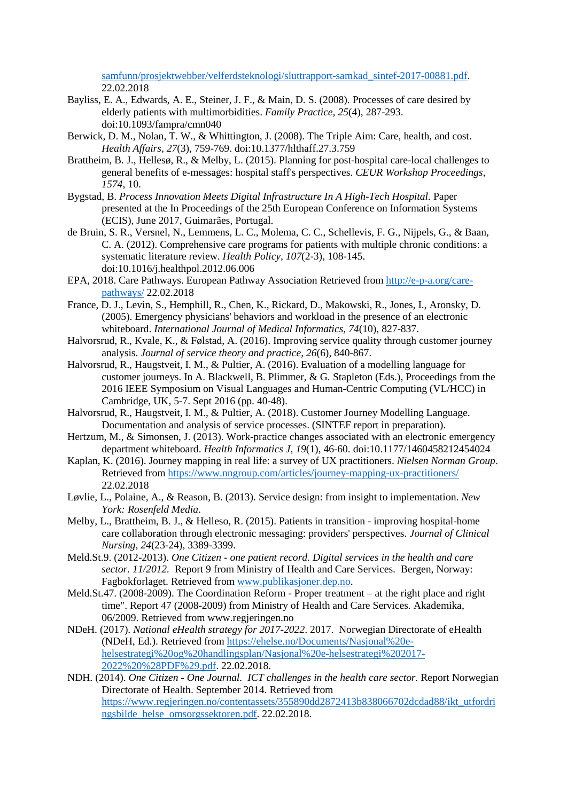[samfunn/prosjektwebber/velferdsteknologi/sluttrapport-samkad\\_sintef-2017-00881.pdf.](https://www.sintef.no/globalassets/sintef-teknologi-og-samfunn/prosjektwebber/velferdsteknologi/sluttrapport-samkad_sintef-2017-00881.pdf) 22.02.2018

- Bayliss, E. A., Edwards, A. E., Steiner, J. F., & Main, D. S. (2008). Processes of care desired by elderly patients with multimorbidities. *Family Practice, 25*(4), 287-293. doi:10.1093/fampra/cmn040
- Berwick, D. M., Nolan, T. W., & Whittington, J. (2008). The Triple Aim: Care, health, and cost. *Health Affairs, 27*(3), 759-769. doi:10.1377/hlthaff.27.3.759
- Brattheim, B. J., Hellesø, R., & Melby, L. (2015). Planning for post-hospital care-local challenges to general benefits of e-messages: hospital staff's perspectives. *CEUR Workshop Proceedings, 1574*, 10.
- Bygstad, B. *Process Innovation Meets Digital Infrastructure In A High-Tech Hospital.* Paper presented at the In Proceedings of the 25th European Conference on Information Systems (ECIS), June 2017, Guimarães, Portugal.
- de Bruin, S. R., Versnel, N., Lemmens, L. C., Molema, C. C., Schellevis, F. G., Nijpels, G., & Baan, C. A. (2012). Comprehensive care programs for patients with multiple chronic conditions: a systematic literature review. *Health Policy, 107*(2-3), 108-145. doi:10.1016/j.healthpol.2012.06.006
- EPA, 2018. Care Pathways. European Pathway Association Retrieved from [http://e-p-a.org/care](http://e-p-a.org/care-pathways/)[pathways/](http://e-p-a.org/care-pathways/) 22.02.2018
- France, D. J., Levin, S., Hemphill, R., Chen, K., Rickard, D., Makowski, R., Jones, I., Aronsky, D. (2005). Emergency physicians' behaviors and workload in the presence of an electronic whiteboard. *International Journal of Medical Informatics, 74*(10), 827-837.
- Halvorsrud, R., Kvale, K., & Følstad, A. (2016). Improving service quality through customer journey analysis. *Journal of service theory and practice, 26*(6), 840-867.
- Halvorsrud, R., Haugstveit, I. M., & Pultier, A. (2016). Evaluation of a modelling language for customer journeys. In A. Blackwell, B. Plimmer, & G. Stapleton (Eds.), Proceedings from the 2016 IEEE Symposium on Visual Languages and Human-Centric Computing (VL/HCC) in Cambridge, UK, 5-7. Sept 2016 (pp. 40-48).
- Halvorsrud, R., Haugstveit, I. M., & Pultier, A. (2018). Customer Journey Modelling Language. Documentation and analysis of service processes. (SINTEF report in preparation).
- Hertzum, M., & Simonsen, J. (2013). Work-practice changes associated with an electronic emergency department whiteboard. *Health Informatics J, 19*(1), 46-60. doi:10.1177/1460458212454024
- Kaplan, K. (2016). Journey mapping in real life: a survey of UX practitioners. *Nielsen Norman Group*. Retrieved from<https://www.nngroup.com/articles/journey-mapping-ux-practitioners/> 22.02.2018
- Løvlie, L., Polaine, A., & Reason, B. (2013). Service design: from insight to implementation. *New York: Rosenfeld Media*.
- Melby, L., Brattheim, B. J., & Helleso, R. (2015). Patients in transition improving hospital-home care collaboration through electronic messaging: providers' perspectives. *Journal of Clinical Nursing, 24*(23-24), 3389-3399.
- Meld.St.9. (2012-2013). *One Citizen - one patient record. Digital services in the health and care sector. 11/2012.* Report 9 from Ministry of Health and Care Services. Bergen, Norway: Fagbokforlaget. Retrieved from [www.publikasjoner.dep.no.](http://www.publikasjoner.dep.no/)
- Meld.St.47. (2008-2009). The Coordination Reform Proper treatment at the right place and right time". Report 47 (2008-2009) from Ministry of Health and Care Services*.* Akademika, 06/2009. Retrieved from www.regjeringen.no
- NDeH. (2017). *National eHealth strategy for 2017-2022*. 2017. Norwegian Directorate of eHealth (NDeH, Ed.). Retrieved from [https://ehelse.no/Documents/Nasjonal%20e](https://ehelse.no/Documents/Nasjonal%20e-helsestrategi%20og%20handlingsplan/Nasjonal%20e-helsestrategi%202017-2022%20%28PDF%29.pdf)[helsestrategi%20og%20handlingsplan/Nasjonal%20e-helsestrategi%202017-](https://ehelse.no/Documents/Nasjonal%20e-helsestrategi%20og%20handlingsplan/Nasjonal%20e-helsestrategi%202017-2022%20%28PDF%29.pdf) [2022%20%28PDF%29.pdf.](https://ehelse.no/Documents/Nasjonal%20e-helsestrategi%20og%20handlingsplan/Nasjonal%20e-helsestrategi%202017-2022%20%28PDF%29.pdf) 22.02.2018.
- NDH. (2014). *One Citizen - One Journal. ICT challenges in the health care sector.* Report Norwegian Directorate of Health. September 2014. Retrieved from [https://www.regjeringen.no/contentassets/355890dd2872413b838066702dcdad88/ikt\\_utfordri](https://www.regjeringen.no/contentassets/355890dd2872413b838066702dcdad88/ikt_utfordringsbilde_helse_omsorgssektoren.pdf) [ngsbilde\\_helse\\_omsorgssektoren.pdf.](https://www.regjeringen.no/contentassets/355890dd2872413b838066702dcdad88/ikt_utfordringsbilde_helse_omsorgssektoren.pdf) 22.02.2018.